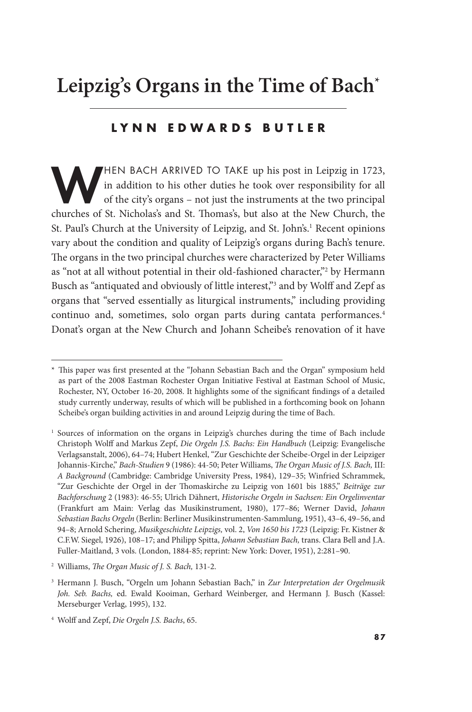# **Leipzig's Organs in the Time of Bach\***

#### **LYNN EDWARDS BUTLER**

HEN BACH ARRIVED TO TAKE up his post in Leipzig in 1723,<br>in addition to his other duties he took over responsibility for all<br>of the city's organs – not just the instruments at the two principal<br>churches of St. Nicholas's a in addition to his other duties he took over responsibility for all of the city's organs – not just the instruments at the two principal churches of St. Nicholas's and St. Tomas's, but also at the New Church, the St. Paul's Church at the University of Leipzig, and St. John's.<sup>1</sup> Recent opinions vary about the condition and quality of Leipzig's organs during Bach's tenure. The organs in the two principal churches were characterized by Peter Williams as "not at all without potential in their old-fashioned character,"<sup>2</sup> by Hermann Busch as "antiquated and obviously of little interest,"<sup>3</sup> and by Wolff and Zepf as organs that "served essentially as liturgical instruments," including providing continuo and, sometimes, solo organ parts during cantata performances.4 Donat's organ at the New Church and Johann Scheibe's renovation of it have

 \* Tis paper was frst presented at the "Johann Sebastian Bach and the Organ" symposium held as part of the 2008 Eastman Rochester Organ Initiative Festival at Eastman School of Music, Rochester, NY, October 16-20, 2008. It highlights some of the signifcant fndings of a detailed study currently underway, results of which will be published in a forthcoming book on Johann Scheibe's organ building activities in and around Leipzig during the time of Bach.

 1 Sources of information on the organs in Leipzig's churches during the time of Bach include Christoph Wolf and Markus Zepf, *Die Orgeln J.S. Bachs: Ein Handbuch* (Leipzig: Evangelische Verlagsanstalt, 2006), 64–74; Hubert Henkel, "Zur Geschichte der Scheibe-Orgel in der Leipziger Johannis-Kirche," *Bach-Studien* 9 (1986): 44-50; Peter Williams, *Te Organ Music of J.S. Bach,* III: *A Background* (Cambridge: Cambridge University Press, 1984), 129–35; Winfried Schrammek, "Zur Geschichte der Orgel in der Tomaskirche zu Leipzig von 1601 bis 1885," *Beiträge zur Bachforschung* 2 (1983): 46-55; Ulrich Dähnert, *Historische Orgeln in Sachsen: Ein Orgelinventar*  (Frankfurt am Main: Verlag das Musikinstrument, 1980), 177–86; Werner David, *Johann Sebastian Bachs Orgeln* (Berlin: Berliner Musikinstrumenten-Sammlung, 1951), 43–6, 49–56, and 94–8; Arnold Schering, *Musikgeschichte Leipzigs,* vol. 2, *Von 1650 bis 1723* (Leipzig: Fr. Kistner & C.F.W. Siegel, 1926), 108–17; and Philipp Spitta, *Johann Sebastian Bach,* trans. Clara Bell and J.A. Fuller-Maitland, 3 vols. (London, 1884-85; reprint: New York: Dover, 1951), 2:281–90.

<sup>&</sup>lt;sup>2</sup> Williams, *The Organ Music of J. S. Bach*, 131-2.

 3 Hermann J. Busch, "Orgeln um Johann Sebastian Bach," in *Zur Interpretation der Orgelmusik Joh. Seb. Bachs,* ed. Ewald Kooiman, Gerhard Weinberger, and Hermann J. Busch (Kassel: Merseburger Verlag, 1995), 132.

 4 Wolf and Zepf, *Die Orgeln J.S. Bachs*, 65.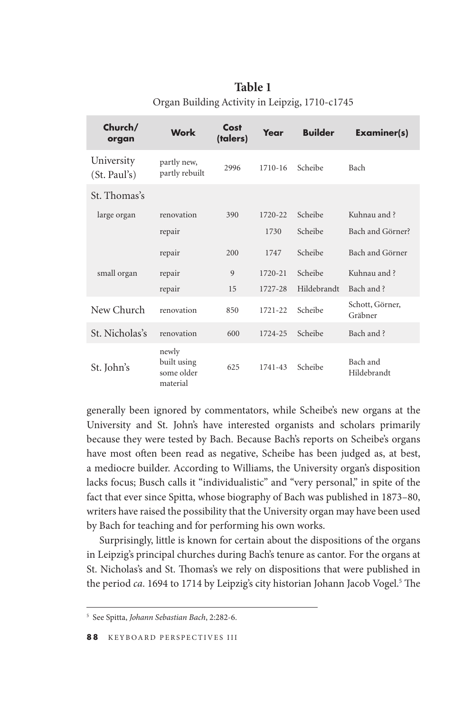| Church/<br>organ           | Work                                           | Cost<br>(talers) | Year        | <b>Builder</b> | <b>Examiner(s)</b>         |
|----------------------------|------------------------------------------------|------------------|-------------|----------------|----------------------------|
| University<br>(St. Paul's) | partly new,<br>partly rebuilt                  | 2996             | $1710 - 16$ | Scheibe        | Bach                       |
| St. Thomas's               |                                                |                  |             |                |                            |
| large organ                | renovation                                     | 390              | 1720-22     | Scheibe        | Kuhnau and ?               |
|                            | repair                                         |                  | 1730        | Scheibe        | Bach and Görner?           |
|                            | repair                                         | 200              | 1747        | Scheibe        | Bach and Görner            |
| small organ                | repair                                         | 9                | 1720-21     | Scheibe        | Kuhnau and?                |
|                            | repair                                         | 15               | 1727-28     | Hildebrandt    | Bach and ?                 |
| New Church                 | renovation                                     | 850              | $1721 - 22$ | Scheibe        | Schott, Görner,<br>Gräbner |
| St. Nicholas's             | renovation                                     | 600              | 1724-25     | Scheibe        | Bach and ?                 |
| St. John's                 | newly<br>built using<br>some older<br>material | 625              | 1741-43     | Scheibe        | Bach and<br>Hildebrandt    |

**Table 1**  Organ Building Activity in Leipzig, 1710-c1745

generally been ignored by commentators, while Scheibe's new organs at the University and St. John's have interested organists and scholars primarily because they were tested by Bach. Because Bach's reports on Scheibe's organs have most often been read as negative, Scheibe has been judged as, at best, a mediocre builder. According to Williams, the University organ's disposition lacks focus; Busch calls it "individualistic" and "very personal," in spite of the fact that ever since Spitta, whose biography of Bach was published in 1873–80, writers have raised the possibility that the University organ may have been used by Bach for teaching and for performing his own works.

Surprisingly, little is known for certain about the dispositions of the organs in Leipzig's principal churches during Bach's tenure as cantor. For the organs at St. Nicholas's and St. Tomas's we rely on dispositions that were published in the period *ca*. 1694 to 1714 by Leipzig's city historian Johann Jacob Vogel.<sup>5</sup> The

 5 See Spitta, *Johann Sebastian Bach*, 2:282-6.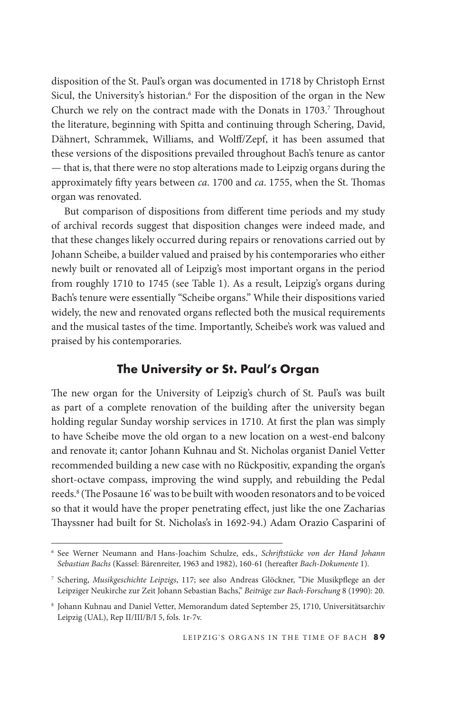disposition of the St. Paul's organ was documented in 1718 by Christoph Ernst Sicul, the University's historian.<sup>6</sup> For the disposition of the organ in the New Church we rely on the contract made with the Donats in 1703.<sup>7</sup> Throughout the literature, beginning with Spitta and continuing through Schering, David, Dähnert, Schrammek, Williams, and Wolf/Zepf, it has been assumed that these versions of the dispositions prevailed throughout Bach's tenure as cantor — that is, that there were no stop alterations made to Leipzig organs during the approximately fifty years between *ca*. 1700 and *ca*. 1755, when the St. Thomas organ was renovated.

But comparison of dispositions from diferent time periods and my study of archival records suggest that disposition changes were indeed made, and that these changes likely occurred during repairs or renovations carried out by Johann Scheibe, a builder valued and praised by his contemporaries who either newly built or renovated all of Leipzig's most important organs in the period from roughly 1710 to 1745 (see Table 1). As a result, Leipzig's organs during Bach's tenure were essentially "Scheibe organs." While their dispositions varied widely, the new and renovated organs refected both the musical requirements and the musical tastes of the time. Importantly, Scheibe's work was valued and praised by his contemporaries.

#### **The University or St. Paul's Organ**

The new organ for the University of Leipzig's church of St. Paul's was built as part of a complete renovation of the building afer the university began holding regular Sunday worship services in 1710. At frst the plan was simply to have Scheibe move the old organ to a new location on a west-end balcony and renovate it; cantor Johann Kuhnau and St. Nicholas organist Daniel Vetter recommended building a new case with no Rückpositiv, expanding the organ's short-octave compass, improving the wind supply, and rebuilding the Pedal reeds.<sup>8</sup> (The Posaune 16' was to be built with wooden resonators and to be voiced so that it would have the proper penetrating efect, just like the one Zacharias Thayssner had built for St. Nicholas's in 1692-94.) Adam Orazio Casparini of

 6 See Werner Neumann and Hans-Joachim Schulze, eds., *Schrifstücke von der Hand Johann Sebastian Bachs* (Kassel: Bärenreiter, 1963 and 1982), 160-61 (hereafer *Bach-Dokumente* 1).

 7 Schering, *Musikgeschichte Leipzigs*, 117; see also Andreas Glöckner, "Die Musikpfege an der Leipziger Neukirche zur Zeit Johann Sebastian Bachs," *Beiträge zur Bach-Forschung* 8 (1990): 20.

 8 Johann Kuhnau and Daniel Vetter, Memorandum dated September 25, 1710, Universitätsarchiv Leipzig (UAL), Rep II/III/B/I 5, fols. 1r-7v.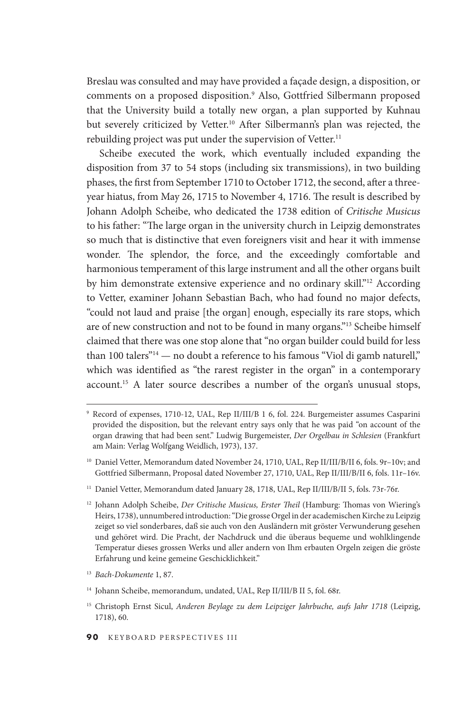Breslau was consulted and may have provided a façade design, a disposition, or comments on a proposed disposition.9 Also, Gottfried Silbermann proposed that the University build a totally new organ, a plan supported by Kuhnau but severely criticized by Vetter.<sup>10</sup> After Silbermann's plan was rejected, the rebuilding project was put under the supervision of Vetter.<sup>11</sup>

Scheibe executed the work, which eventually included expanding the disposition from 37 to 54 stops (including six transmissions), in two building phases, the first from September 1710 to October 1712, the second, after a threeyear hiatus, from May 26, 1715 to November 4, 1716. The result is described by Johann Adolph Scheibe, who dedicated the 1738 edition of *Critische Musicus*  to his father: "The large organ in the university church in Leipzig demonstrates so much that is distinctive that even foreigners visit and hear it with immense wonder. The splendor, the force, and the exceedingly comfortable and harmonious temperament of this large instrument and all the other organs built by him demonstrate extensive experience and no ordinary skill."<sup>12</sup> According to Vetter, examiner Johann Sebastian Bach, who had found no major defects, "could not laud and praise [the organ] enough, especially its rare stops, which are of new construction and not to be found in many organs."13 Scheibe himself claimed that there was one stop alone that "no organ builder could build for less than 100 talers $"^{14}$  — no doubt a reference to his famous "Viol di gamb naturell," which was identifed as "the rarest register in the organ" in a contemporary [account.15](https://account.15) A later source describes a number of the organ's unusual stops,

<sup>11</sup> Daniel Vetter, Memorandum dated January 28, 1718, UAL, Rep II/III/B/II 5, fols. 73r-76r.

 9 Record of expenses, 1710-12, UAL, Rep II/III/B 1 6, fol. 224. Burgemeister assumes Casparini provided the disposition, but the relevant entry says only that he was paid "on account of the organ drawing that had been sent." Ludwig Burgemeister, *Der Orgelbau in Schlesien* (Frankfurt am Main: Verlag Wolfgang Weidlich, 1973), 137.

 10 Daniel Vetter, Memorandum dated November 24, 1710, UAL, Rep II/III/B/II 6, fols. 9r–10v; and Gottfried Silbermann, Proposal dated November 27, 1710, UAL, Rep II/III/B/II 6, fols. 11r–16v.

<sup>&</sup>lt;sup>12</sup> Johann Adolph Scheibe, *Der Critische Musicus, Erster Theil* (Hamburg: Thomas von Wiering's Heirs, 1738), unnumbered introduction: "Die grosse Orgel in der academischen Kirche zu Leipzig zeiget so viel sonderbares, daß sie auch von den Ausländern mit gröster Verwunderung gesehen und gehöret wird. Die Pracht, der Nachdruck und die überaus bequeme und wohlklingende temperatur dieses grossen Werks und aller andern von Ihm erbauten Orgeln zeigen die gröste Erfahrung und keine gemeine Geschicklichkeit."

 <sup>13</sup>*Bach-Dokumente* 1, 87.

 14 Johann Scheibe, memorandum, undated, UAL, Rep II/III/B II 5, fol. 68r.

 15 Christoph Ernst Sicul, *Anderen Beylage zu dem Leipziger Jahrbuche, aufs Jahr 1718* (Leipzig, 1718), 60.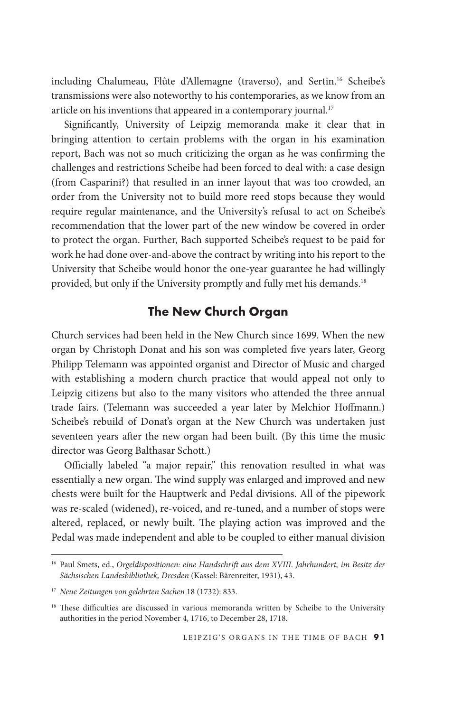including Chalumeau, Flûte d'Allemagne (traverso), and [Sertin.16](https://Sertin.16) Scheibe's transmissions were also noteworthy to his contemporaries, as we know from an article on his inventions that appeared in a contemporary journal.<sup>17</sup>

Signifcantly, University of Leipzig memoranda make it clear that in bringing attention to certain problems with the organ in his examination report, Bach was not so much criticizing the organ as he was confrming the challenges and restrictions Scheibe had been forced to deal with: a case design (from Casparini?) that resulted in an inner layout that was too crowded, an order from the University not to build more reed stops because they would require regular maintenance, and the University's refusal to act on Scheibe's recommendation that the lower part of the new window be covered in order to protect the organ. Further, Bach supported Scheibe's request to be paid for work he had done over-and-above the contract by writing into his report to the University that Scheibe would honor the one-year guarantee he had willingly provided, but only if the University promptly and fully met his demands.<sup>18</sup>

### **The New Church Organ**

Church services had been held in the New Church since 1699. When the new organ by Christoph Donat and his son was completed fve years later, Georg Philipp Telemann was appointed organist and Director of Music and charged with establishing a modern church practice that would appeal not only to Leipzig citizens but also to the many visitors who attended the three annual trade fairs. (Telemann was succeeded a year later by Melchior Hoffmann.) Scheibe's rebuild of Donat's organ at the New Church was undertaken just seventeen years afer the new organ had been built. (By this time the music director was Georg Balthasar Schott.)

Officially labeled "a major repair," this renovation resulted in what was essentially a new organ. The wind supply was enlarged and improved and new chests were built for the Hauptwerk and Pedal divisions. All of the pipework was re-scaled (widened), re-voiced, and re-tuned, and a number of stops were altered, replaced, or newly built. The playing action was improved and the Pedal was made independent and able to be coupled to either manual division

<sup>&</sup>lt;sup>16</sup> Paul Smets, ed., *Orgeldispositionen: eine Handschrift aus dem XVIII. Jahrhundert, im Besitz der Sächsischen Landesbibliothek, Dresden* (Kassel: Bärenreiter, 1931), 43.

 <sup>17</sup>*Neue Zeitungen von gelehrten Sachen* 18 (1732): 833.

<sup>&</sup>lt;sup>18</sup> These difficulties are discussed in various memoranda written by Scheibe to the University authorities in the period November 4, 1716, to December 28, 1718.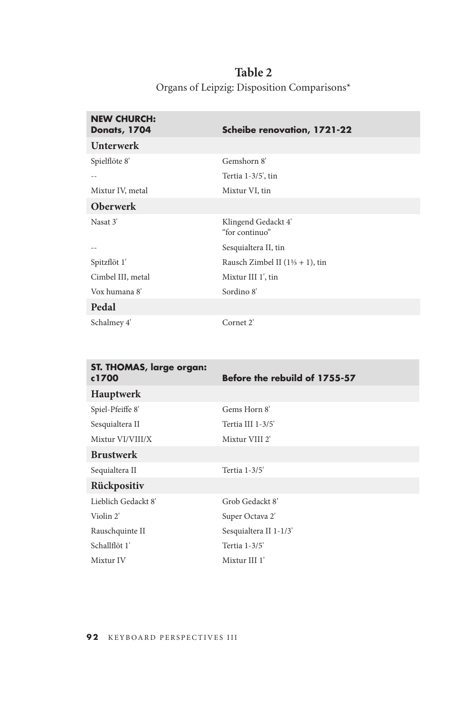| Table 2                                     |
|---------------------------------------------|
| Organs of Leipzig: Disposition Comparisons* |

| <b>NEW CHURCH:</b><br><b>Donats, 1704</b> | <b>Scheibe renovation, 1721-22</b>          |
|-------------------------------------------|---------------------------------------------|
| <b>Unterwerk</b>                          |                                             |
| Spielflöte 8'                             | Gemshorn 8'                                 |
|                                           | Tertia 1-3/5', tin                          |
| Mixtur IV, metal                          | Mixtur VI, tin                              |
| <b>Oberwerk</b>                           |                                             |
| Nasat 3'                                  | Klingend Gedackt 4'<br>"for continuo"       |
|                                           | Sesquialtera II, tin                        |
| Spitzflöt 1'                              | Rausch Zimbel II $(1\frac{1}{3} + 1)$ , tin |
| Cimbel III, metal                         | Mixtur III 1', tin                          |
| Vox humana 8'                             | Sordino 8'                                  |
| Pedal                                     |                                             |
| Schalmey 4'                               | Cornet 2'                                   |

| ST. THOMAS, large organ:<br>c1700 | Before the rebuild of 1755-57 |
|-----------------------------------|-------------------------------|
| Hauptwerk                         |                               |
| Spiel-Pfeiffe 8'                  | Gems Horn 8'                  |
| Sesquialtera II                   | Tertia III 1-3/5'             |
| Mixtur VI/VIII/X                  | Mixtur VIII 2'                |
| <b>Brustwerk</b>                  |                               |
| Sequialtera II                    | Tertia 1-3/5'                 |
| Rückpositiv                       |                               |
| Lieblich Gedackt 8'               | Grob Gedackt 8'               |
| Violin 2'                         | Super Octava 2'               |
| Rauschquinte II                   | Sesquialtera II 1-1/3'        |
| Schallflöt 1'                     | Tertia 1-3/5'                 |
| Mixtur IV                         | Mixtur III 1'                 |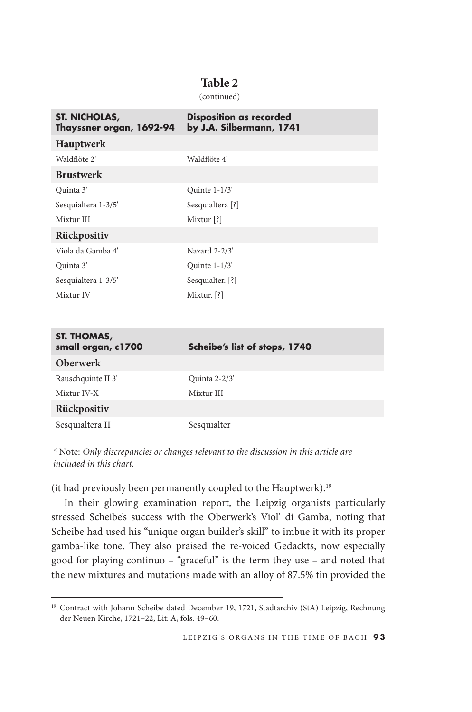#### **Table 2**

(continued)

| ST. NICHOLAS,<br>Thayssner organ, 1692-94 | <b>Disposition as recorded</b><br>by J.A. Silbermann, 1741 |
|-------------------------------------------|------------------------------------------------------------|
| Hauptwerk                                 |                                                            |
| Waldflöte 2'                              | Waldflöte 4'                                               |
| <b>Brustwerk</b>                          |                                                            |
| Quinta 3'                                 | Quinte $1-1/3'$                                            |
| Sesquialtera 1-3/5'                       | Sesquialtera [?]                                           |
| Mixtur III                                | Mixtur <sup>[?]</sup>                                      |
| Rückpositiv                               |                                                            |
| Viola da Gamba 4'                         | Nazard 2-2/3'                                              |
| Quinta 3'                                 | Quinte $1-1/3'$                                            |
| Sesquialtera 1-3/5'                       | Sesquialter. [?]                                           |
| Mixtur IV                                 | Mixtur. $[?]$                                              |
|                                           |                                                            |

| ST. THOMAS,<br>small organ, c1700 | Scheibe's list of stops, 1740 |
|-----------------------------------|-------------------------------|
| <b>Oberwerk</b>                   |                               |
| Rauschquinte II 3'                | Quinta 2-2/3'                 |
| Mixtur IV-X                       | Mixtur III                    |
| Rückpositiv                       |                               |
| Sesquialtera II                   | Sesquialter                   |

*\** Note: *Only discrepancies or changes relevant to the discussion in this article are included in this chart.* 

(it had previously been permanently coupled to the [Hauptwerk\).19](https://Hauptwerk).19)

In their glowing examination report, the Leipzig organists particularly stressed Scheibe's success with the Oberwerk's Viol' di Gamba, noting that Scheibe had used his "unique organ builder's skill" to imbue it with its proper gamba-like tone. They also praised the re-voiced Gedackts, now especially good for playing continuo – "graceful" is the term they use – and noted that the new mixtures and mutations made with an alloy of 87.5% tin provided the

<sup>&</sup>lt;sup>19</sup> Contract with Johann Scheibe dated December 19, 1721, Stadtarchiv (StA) Leipzig, Rechnung der Neuen Kirche, 1721–22, Lit: A, fols. 49–60.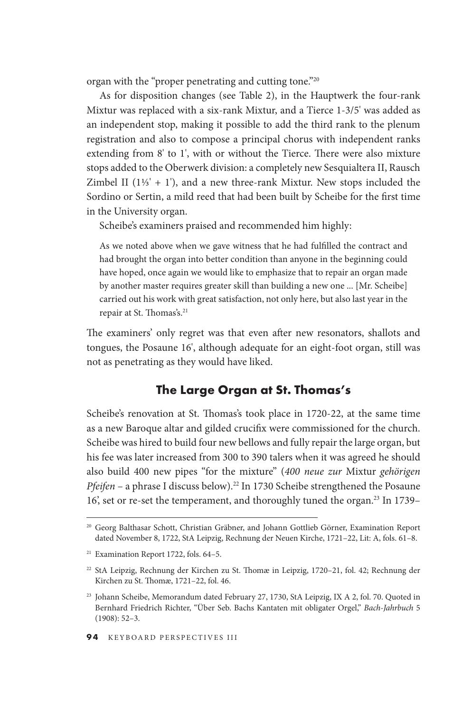organ with the "proper penetrating and cutting tone."20

As for disposition changes (see Table 2), in the Hauptwerk the four-rank Mixtur was replaced with a six-rank Mixtur, and a Tierce 1-3/5' was added as an independent stop, making it possible to add the third rank to the plenum registration and also to compose a principal chorus with independent ranks extending from 8' to 1', with or without the Tierce. There were also mixture stops added to the Oberwerk division: a completely new Sesquialtera II, Rausch Zimbel II  $(1\frac{1}{3}$ ' + 1'), and a new three-rank Mixtur. New stops included the Sordino or Sertin, a mild reed that had been built by Scheibe for the frst time in the University organ.

Scheibe's examiners praised and recommended him highly:

As we noted above when we gave witness that he had fulflled the contract and had brought the organ into better condition than anyone in the beginning could have hoped, once again we would like to emphasize that to repair an organ made by another master requires greater skill than building a new one ... [Mr. Scheibe] carried out his work with great satisfaction, not only here, but also last year in the repair at St. Thomas's.<sup>21</sup>

The examiners' only regret was that even after new resonators, shallots and tongues, the Posaune 16', although adequate for an eight-foot organ, still was not as penetrating as they would have liked.

#### **The Large Organ at St. Thomas's**

Scheibe's renovation at St. Thomas's took place in 1720-22, at the same time as a new Baroque altar and gilded crucifx were commissioned for the church. Scheibe was hired to build four new bellows and fully repair the large organ, but his fee was later increased from 300 to 390 talers when it was agreed he should also build 400 new pipes "for the mixture" (*400 neue zur* Mixtur *gehörigen Pfeifen* – a phrase I discuss below).<sup>22</sup> In 1730 Scheibe strengthened the Posaune 16', set or re-set the temperament, and thoroughly tuned the [organ.23](https://organ.23) In 1739–

 20 Georg Balthasar Schott, Christian Gräbner, and Johann Gottlieb Görner, Examination Report dated November 8, 1722, StA Leipzig, Rechnung der Neuen Kirche, 1721–22, Lit: A, fols. 61–8.

 21 Examination Report 1722, fols. 64–5.

 22 StA Leipzig, Rechnung der Kirchen zu St. Tomæ in Leipzig, 1720–21, fol. 42; Rechnung der Kirchen zu St. Thomæ, 1721-22, fol. 46.

 23 Johann Scheibe, Memorandum dated February 27, 1730, StA Leipzig, IX A 2, fol. 70. Quoted in Bernhard Friedrich Richter, "Über Seb. Bachs Kantaten mit obligater Orgel," *Bach-Jahrbuch* 5 (1908): 52–3.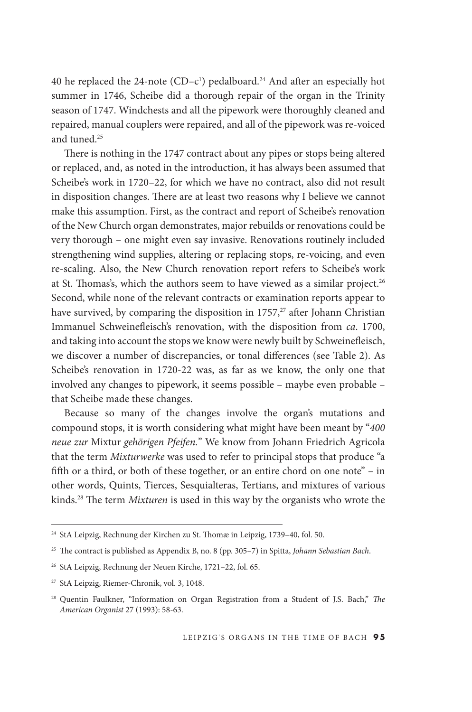40 he replaced the 24-note  $(CD - c^1)$  pedalboard.<sup>24</sup> And after an especially hot summer in 1746, Scheibe did a thorough repair of the organ in the Trinity season of 1747. Windchests and all the pipework were thoroughly cleaned and repaired, manual couplers were repaired, and all of the pipework was re-voiced and tuned.<sup>25</sup>

There is nothing in the 1747 contract about any pipes or stops being altered or replaced, and, as noted in the introduction, it has always been assumed that Scheibe's work in 1720–22, for which we have no contract, also did not result in disposition changes. There are at least two reasons why I believe we cannot make this assumption. First, as the contract and report of Scheibe's renovation of the New Church organ demonstrates, major rebuilds or renovations could be very thorough – one might even say invasive. Renovations routinely included strengthening wind supplies, altering or replacing stops, re-voicing, and even re-scaling. Also, the New Church renovation report refers to Scheibe's work at St. Thomas's, which the authors seem to have viewed as a similar project.<sup>26</sup> Second, while none of the relevant contracts or examination reports appear to have survived, by comparing the disposition in  $1757<sup>27</sup>$  after Johann Christian Immanuel Schweinefeisch's renovation, with the disposition from *ca*. 1700, and taking into account the stops we know were newly built by Schweinefeisch, we discover a number of discrepancies, or tonal differences (see Table 2). As Scheibe's renovation in 1720-22 was, as far as we know, the only one that involved any changes to pipework, it seems possible – maybe even probable – that Scheibe made these changes.

Because so many of the changes involve the organ's mutations and compound stops, it is worth considering what might have been meant by "*400 neue zur* Mixtur *gehörigen Pfeifen.*" We know from Johann Friedrich Agricola that the term *Mixturwerke* was used to refer to principal stops that produce "a ffh or a third, or both of these together, or an entire chord on one note" – in other words, Quints, tierces, Sesquialteras, tertians, and mixtures of various kinds.<sup>28</sup> The term *Mixturen* is used in this way by the organists who wrote the

<sup>&</sup>lt;sup>24</sup> StA Leipzig, Rechnung der Kirchen zu St. Thomæ in Leipzig, 1739–40, fol. 50.

<sup>&</sup>lt;sup>25</sup> The contract is published as Appendix B, no. 8 (pp. 305–7) in Spitta, *Johann Sebastian Bach*.

 26 StA Leipzig, Rechnung der Neuen Kirche, 1721–22, fol. 65.

 27 StA Leipzig, Riemer-Chronik, vol. 3, 1048.

 28 Quentin Faulkner, "Information on Organ Registration from a Student of J.S. Bach," *Te American Organist* 27 (1993): 58-63.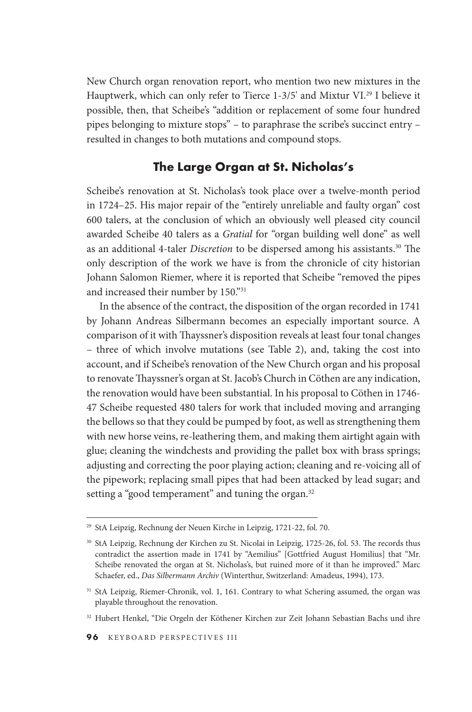New Church organ renovation report, who mention two new mixtures in the Hauptwerk, which can only refer to Tierce 1-3/5' and Mixtur VI.<sup>29</sup> I believe it possible, then, that Scheibe's "addition or replacement of some four hundred pipes belonging to mixture stops" – to paraphrase the scribe's succinct entry – resulted in changes to both mutations and compound stops.

#### **The Large Organ at St. Nicholas's**

Scheibe's renovation at St. Nicholas's took place over a twelve-month period in 1724–25. His major repair of the "entirely unreliable and faulty organ" cost 600 talers, at the conclusion of which an obviously well pleased city council awarded Scheibe 40 talers as a *Gratial* for "organ building well done" as well as an additional 4-taler *Discretion* to be dispersed among his assistants.<sup>30</sup> The only description of the work we have is from the chronicle of city historian Johann Salomon Riemer, where it is reported that Scheibe "removed the pipes and increased their number by 150."31

In the absence of the contract, the disposition of the organ recorded in 1741 by Johann Andreas Silbermann becomes an especially important source. A comparison of it with Thayssner's disposition reveals at least four tonal changes – three of which involve mutations (see table 2), and, taking the cost into account, and if Scheibe's renovation of the New Church organ and his proposal to renovate Thayssner's organ at St. Jacob's Church in Cöthen are any indication, the renovation would have been substantial. In his proposal to Cöthen in 1746- 47 Scheibe requested 480 talers for work that included moving and arranging the bellows so that they could be pumped by foot, as well as strengthening them with new horse veins, re-leathering them, and making them airtight again with glue; cleaning the windchests and providing the pallet box with brass springs; adjusting and correcting the poor playing action; cleaning and re-voicing all of the pipework; replacing small pipes that had been attacked by lead sugar; and setting a "good temperament" and tuning the organ.<sup>32</sup>

 29 StA Leipzig, Rechnung der Neuen Kirche in Leipzig, 1721-22, fol. 70.

<sup>&</sup>lt;sup>30</sup> StA Leipzig, Rechnung der Kirchen zu St. Nicolai in Leipzig, 1725-26, fol. 53. The records thus contradict the assertion made in 1741 by "Aemilius" [Gottfried August Homilius] that "Mr. Scheibe renovated the organ at St. Nicholas's, but ruined more of it than he improved." Marc Schaefer, ed., *Das Silbermann Archiv* (Winterthur, Switzerland: Amadeus, 1994), 173.

<sup>&</sup>lt;sup>31</sup> StA Leipzig, Riemer-Chronik, vol. 1, 161. Contrary to what Schering assumed, the organ was playable throughout the renovation.

 32 Hubert Henkel, "Die Orgeln der Köthener Kirchen zur Zeit Johann Sebastian Bachs und ihre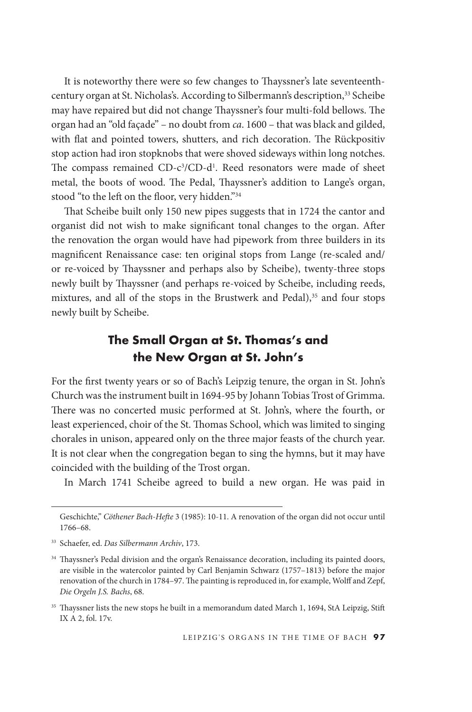It is noteworthy there were so few changes to Thayssner's late seventeenthcentury organ at St. Nicholas's. According to Silbermann's description,<sup>33</sup> Scheibe may have repaired but did not change Thayssner's four multi-fold bellows. The organ had an "old façade" – no doubt from *ca*. 1600 – that was black and gilded, with flat and pointed towers, shutters, and rich decoration. The Rückpositiv stop action had iron stopknobs that were shoved sideways within long notches. The compass remained CD-c<sup>3</sup>/CD-d<sup>1</sup>. Reed resonators were made of sheet metal, the boots of wood. The Pedal, Thayssner's addition to Lange's organ, stood "to the left on the floor, very hidden."34

That Scheibe built only 150 new pipes suggests that in 1724 the cantor and organist did not wish to make signifcant tonal changes to the organ. Afer the renovation the organ would have had pipework from three builders in its magnifcent Renaissance case: ten original stops from Lange (re-scaled and/ or re-voiced by Thayssner and perhaps also by Scheibe), twenty-three stops newly built by Thayssner (and perhaps re-voiced by Scheibe, including reeds, mixtures, and all of the stops in the Brustwerk and Pedal),<sup>35</sup> and four stops newly built by Scheibe.

## **The Small Organ at St. Thomas's and the New Organ at St. John's**

For the frst twenty years or so of Bach's Leipzig tenure, the organ in St. John's Church was the instrument built in 1694-95 by Johann Tobias Trost of Grimma. There was no concerted music performed at St. John's, where the fourth, or least experienced, choir of the St. Thomas School, which was limited to singing chorales in unison, appeared only on the three major feasts of the church year. It is not clear when the congregation began to sing the hymns, but it may have coincided with the building of the Trost organ.

In March 1741 Scheibe agreed to build a new organ. He was paid in

Geschichte," *Cöthener Bach-Hefe* 3 (1985): 10-11. A renovation of the organ did not occur until 1766–68.

 33 Schaefer, ed. *Das Silbermann Archiv*, 173.

<sup>&</sup>lt;sup>34</sup> Thayssner's Pedal division and the organ's Renaissance decoration, including its painted doors, are visible in the watercolor painted by Carl Benjamin Schwarz (1757–1813) before the major renovation of the church in 1784–97. The painting is reproduced in, for example, Wolff and Zepf, *Die Orgeln J.S. Bachs*, 68.

<sup>&</sup>lt;sup>35</sup> Thayssner lists the new stops he built in a memorandum dated March 1, 1694, StA Leipzig, Stift IX A 2, fol. 17v.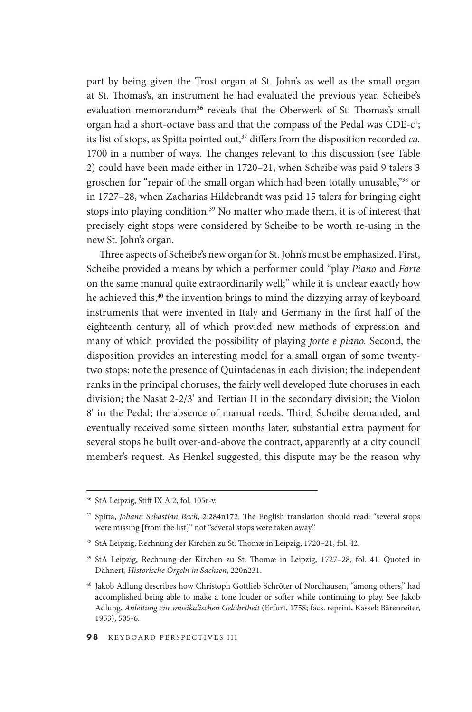part by being given the Trost organ at St. John's as well as the small organ at St. Thomas's, an instrument he had evaluated the previous year. Scheibe's evaluation memorandum<sup>36</sup> reveals that the Oberwerk of St. Thomas's small organ had a short-octave bass and that the compass of the Pedal was CDE-c<sup>1</sup>; its list of stops, as Spitta pointed out,<sup>37</sup> differs from the disposition recorded *ca*. 1700 in a number of ways. The changes relevant to this discussion (see Table 2) could have been made either in 1720–21, when Scheibe was paid 9 talers 3 groschen for "repair of the small organ which had been totally unusable,"38 or in 1727–28, when Zacharias Hildebrandt was paid 15 talers for bringing eight stops into playing condition.<sup>39</sup> No matter who made them, it is of interest that precisely eight stops were considered by Scheibe to be worth re-using in the new St. John's organ.

Three aspects of Scheibe's new organ for St. John's must be emphasized. First, Scheibe provided a means by which a performer could "play *Piano* and *Forte*  on the same manual quite extraordinarily well;" while it is unclear exactly how he achieved this,<sup>40</sup> the invention brings to mind the dizzying array of keyboard instruments that were invented in Italy and Germany in the frst half of the eighteenth century, all of which provided new methods of expression and many of which provided the possibility of playing *forte e piano.* Second, the disposition provides an interesting model for a small organ of some twentytwo stops: note the presence of Quintadenas in each division; the independent ranks in the principal choruses; the fairly well developed fute choruses in each division; the Nasat 2-2/3' and Tertian II in the secondary division; the Violon 8' in the Pedal; the absence of manual reeds. Third, Scheibe demanded, and eventually received some sixteen months later, substantial extra payment for several stops he built over-and-above the contract, apparently at a city council member's request. As Henkel suggested, this dispute may be the reason why

 36 StA Leipzig, Stif IX A 2, fol. 105r-v.

<sup>&</sup>lt;sup>37</sup> Spitta, *Johann Sebastian Bach*, 2:284n172. The English translation should read: "several stops were missing [from the list]" not "several stops were taken away."

<sup>&</sup>lt;sup>38</sup> StA Leipzig, Rechnung der Kirchen zu St. Thomæ in Leipzig, 1720–21, fol. 42.

 39 StA Leipzig, Rechnung der Kirchen zu St. Tomæ in Leipzig, 1727–28, fol. 41. Quoted in Dähnert, *Historische Orgeln in Sachsen*, 220n231.

 40 Jakob Adlung describes how Christoph Gottlieb Schröter of Nordhausen, "among others," had accomplished being able to make a tone louder or sofer while continuing to play. See Jakob Adlung, *Anleitung zur musikalischen Gelahrtheit* (Erfurt, 1758; facs. reprint, Kassel: Bärenreiter, 1953), 505-6.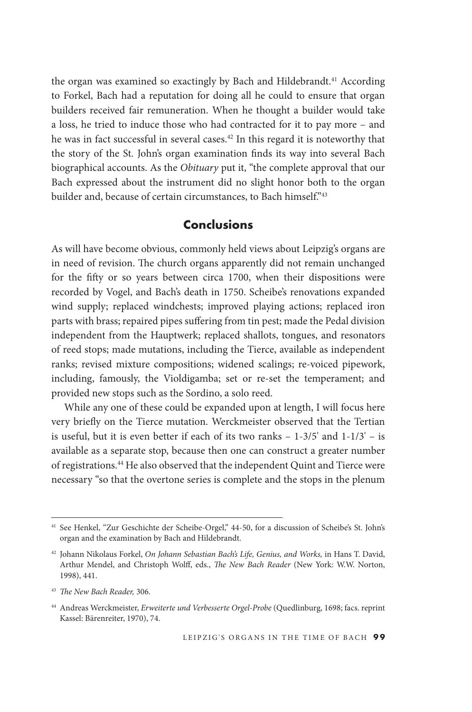the organ was examined so exactingly by Bach and Hildebrandt.<sup>41</sup> According to Forkel, Bach had a reputation for doing all he could to ensure that organ builders received fair remuneration. When he thought a builder would take a loss, he tried to induce those who had contracted for it to pay more – and he was in fact successful in several [cases.42](https://cases.42) In this regard it is noteworthy that the story of the St. John's organ examination fnds its way into several Bach biographical accounts. As the *Obituary* put it, "the complete approval that our Bach expressed about the instrument did no slight honor both to the organ builder and, because of certain circumstances, to Bach himself."43

#### **Conclusions**

As will have become obvious, commonly held views about Leipzig's organs are in need of revision. The church organs apparently did not remain unchanged for the ffy or so years between circa 1700, when their dispositions were recorded by Vogel, and Bach's death in 1750. Scheibe's renovations expanded wind supply; replaced windchests; improved playing actions; replaced iron parts with brass; repaired pipes sufering from tin pest; made the Pedal division independent from the Hauptwerk; replaced shallots, tongues, and resonators of reed stops; made mutations, including the Tierce, available as independent ranks; revised mixture compositions; widened scalings; re-voiced pipework, including, famously, the Violdigamba; set or re-set the temperament; and provided new stops such as the Sordino, a solo reed.

While any one of these could be expanded upon at length, I will focus here very briefly on the Tierce mutation. Werckmeister observed that the Tertian is useful, but it is even better if each of its two ranks  $-1-3/5'$  and  $1-1/3' - i$ s available as a separate stop, because then one can construct a greater number of registrations.<sup>44</sup> He also observed that the independent Quint and Tierce were necessary "so that the overtone series is complete and the stops in the plenum

 41 See Henkel, "Zur Geschichte der Scheibe-Orgel," 44-50, for a discussion of Scheibe's St. John's organ and the examination by Bach and Hildebrandt.

<sup>&</sup>lt;sup>42</sup> Johann Nikolaus Forkel, *On Johann Sebastian Bach's Life, Genius, and Works,* in Hans T. David, Arthur Mendel, and Christoph Wolf, eds., *Te New Bach Reader* (New York: W.W. Norton, 1998), 441.

<sup>&</sup>lt;sup>43</sup> The New Bach Reader, 306.

 44 Andreas Werckmeister, *Erweiterte und Verbesserte Orgel-Probe* (Quedlinburg, 1698; facs. reprint Kassel: Bärenreiter, 1970), 74.